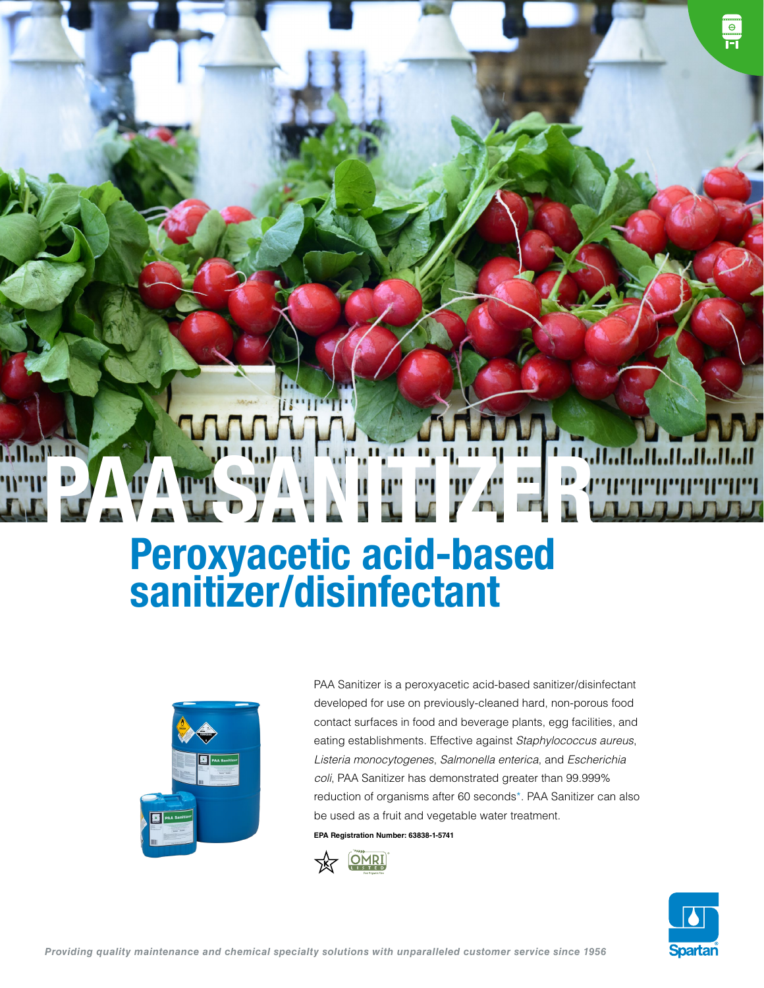# PATAMENTAL NEUTAL

### Peroxyacetic acid-based sanitizer/disinfectant



PAA Sanitizer is a peroxyacetic acid-based sanitizer/disinfectant developed for use on previously-cleaned hard, non-porous food contact surfaces in food and beverage plants, egg facilities, and eating establishments. Effective against *Staphylococcus aureus*, *Listeria monocytogenes*, *Salmonella enterica*, and *Escherichia coli*, PAA Sanitizer has demonstrated greater than 99.999% reduction of organisms after 60 seconds\*. PAA Sanitizer can also be used as a fruit and vegetable water treatment.

**EPA Registration Number: 63838-1-5741**





 $\frac{1}{\sqrt{2}}$